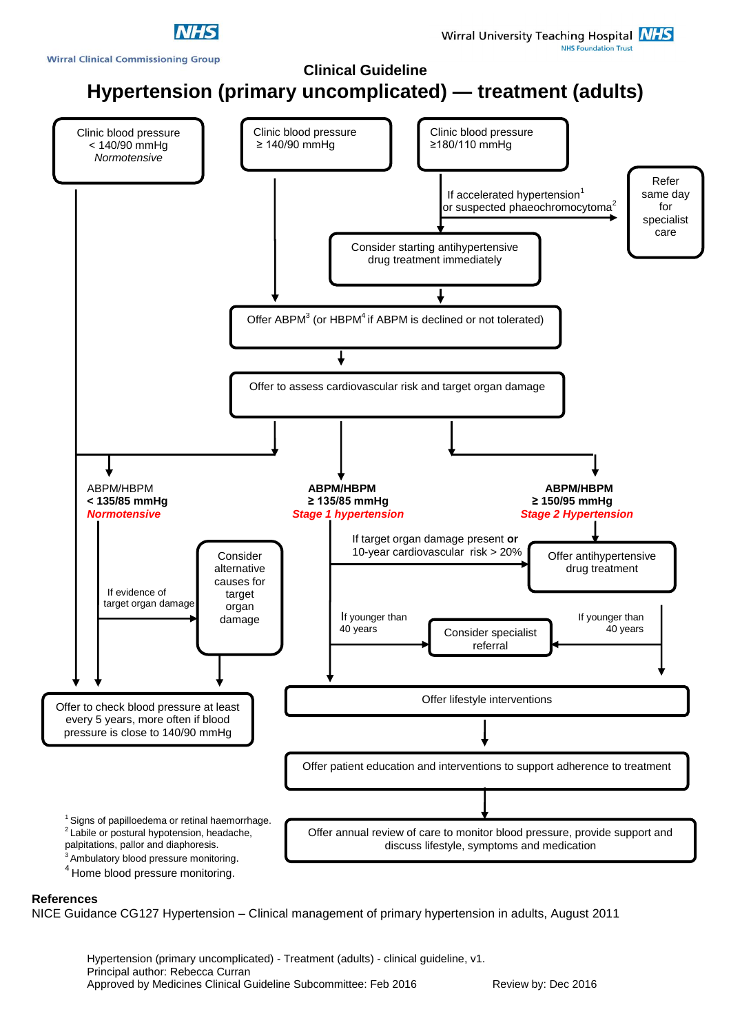



## **References**

NICE Guidance CG127 Hypertension – Clinical management of primary hypertension in adults, August 2011

Hypertension (primary uncomplicated) - Treatment (adults) - clinical guideline, v1. Principal author: Rebecca Curran Approved by Medicines Clinical Guideline Subcommittee: Feb 2016 Review by: Dec 2016